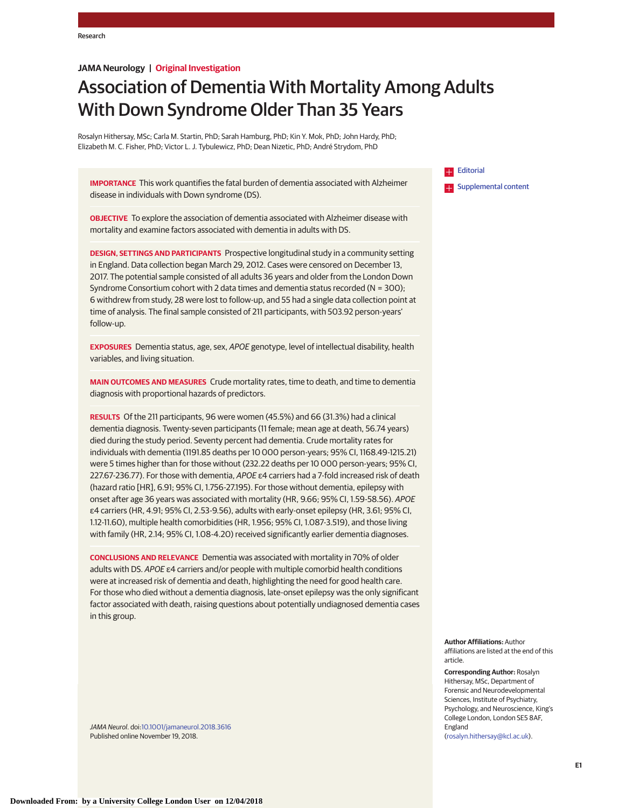## **JAMA Neurology | Original Investigation**

# Association of Dementia With Mortality Among Adults With Down Syndrome Older Than 35 Years

Rosalyn Hithersay, MSc; Carla M. Startin, PhD; Sarah Hamburg, PhD; Kin Y. Mok, PhD; John Hardy, PhD; Elizabeth M. C. Fisher, PhD; Victor L. J. Tybulewicz, PhD; Dean Nizetic, PhD; André Strydom, PhD

**IMPORTANCE** This work quantifies the fatal burden of dementia associated with Alzheimer disease in individuals with Down syndrome (DS).

**OBJECTIVE** To explore the association of dementia associated with Alzheimer disease with mortality and examine factors associated with dementia in adults with DS.

**DESIGN, SETTINGS AND PARTICIPANTS** Prospective longitudinal study in a community setting in England. Data collection began March 29, 2012. Cases were censored on December 13, 2017. The potential sample consisted of all adults 36 years and older from the London Down Syndrome Consortium cohort with 2 data times and dementia status recorded (N = 300); 6 withdrew from study, 28 were lost to follow-up, and 55 had a single data collection point at time of analysis. The final sample consisted of 211 participants, with 503.92 person-years' follow-up.

**EXPOSURES** Dementia status, age, sex, APOE genotype, level of intellectual disability, health variables, and living situation.

**MAIN OUTCOMES AND MEASURES** Crude mortality rates, time to death, and time to dementia diagnosis with proportional hazards of predictors.

**RESULTS** Of the 211 participants, 96 were women (45.5%) and 66 (31.3%) had a clinical dementia diagnosis. Twenty-seven participants (11 female; mean age at death, 56.74 years) died during the study period. Seventy percent had dementia. Crude mortality rates for individuals with dementia (1191.85 deaths per 10 000 person-years; 95% CI, 1168.49-1215.21) were 5 times higher than for those without (232.22 deaths per 10 000 person-years; 95% CI, 227.67-236.77). For those with dementia, APOE  $\varepsilon$ 4 carriers had a 7-fold increased risk of death (hazard ratio [HR], 6.91; 95% CI, 1.756-27.195). For those without dementia, epilepsy with onset after age 36 years was associated with mortality (HR, 9.66; 95% CI, 1.59-58.56). APOE ε4 carriers (HR, 4.91; 95% CI, 2.53-9.56), adults with early-onset epilepsy (HR, 3.61; 95% CI, 1.12-11.60), multiple health comorbidities (HR, 1.956; 95% CI, 1.087-3.519), and those living with family (HR, 2.14; 95% CI, 1.08-4.20) received significantly earlier dementia diagnoses.

**CONCLUSIONS AND RELEVANCE** Dementia was associated with mortality in 70% of older adults with DS. APOE ε4 carriers and/or people with multiple comorbid health conditions were at increased risk of dementia and death, highlighting the need for good health care. For those who died without a dementia diagnosis, late-onset epilepsy was the only significant factor associated with death, raising questions about potentially undiagnosed dementia cases in this group.

JAMA Neurol. doi[:10.1001/jamaneurol.2018.3616](https://jama.jamanetwork.com/article.aspx?doi=10.1001/jamaneurol.2018.3616&utm_campaign=articlePDF%26utm_medium=articlePDFlink%26utm_source=articlePDF%26utm_content=jamaneurol.2018.3616) Published online November 19, 2018.

**[Editorial](https://jama.jamanetwork.com/article.aspx?doi=10.1001/jamaneurol.2018.3443&utm_campaign=articlePDF%26utm_medium=articlePDFlink%26utm_source=articlePDF%26utm_content=jamaneurol.2018.3616) Supplemental content** 

**Author Affiliations:** Author affiliations are listed at the end of this article.

**Corresponding Author:** Rosalyn Hithersay, MSc, Department of Forensic and Neurodevelopmental Sciences, Institute of Psychiatry, Psychology, and Neuroscience, King's College London, London SE5 8AF, England

[\(rosalyn.hithersay@kcl.ac.uk\)](mailto:rosalyn.hithersay@kcl.ac.uk).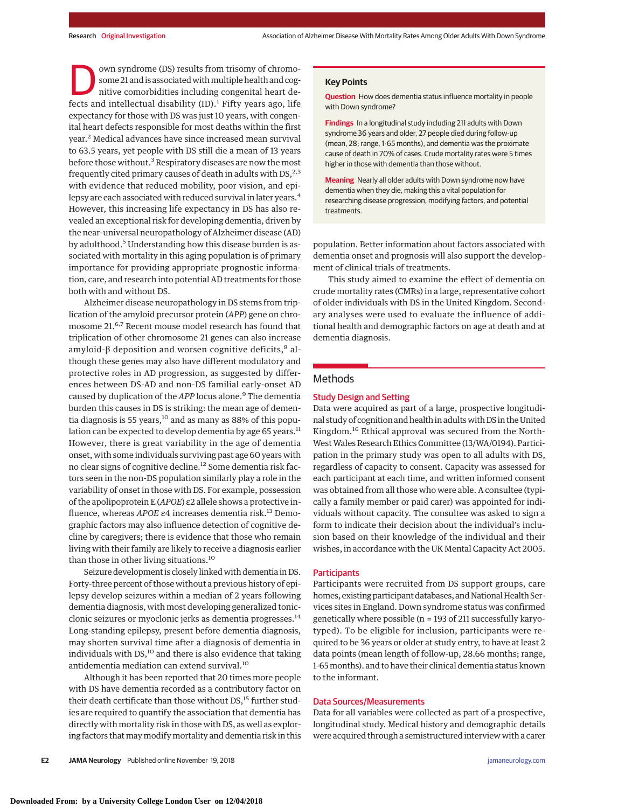own syndrome (DS) results from trisomy of chromosome 21 and is associated with multiple health and cognitive comorbidities including congenital heart defects and intellectual disability  $(ID).<sup>1</sup>$  Fifty years ago, life expectancy for those with DS was just 10 years, with congenital heart defects responsible for most deaths within the first year.<sup>2</sup> Medical advances have since increased mean survival to 63.5 years, yet people with DS still die a mean of 13 years before those without.<sup>3</sup> Respiratory diseases are now the most frequently cited primary causes of death in adults with  $DS<sub>1</sub><sup>2,3</sup>$ with evidence that reduced mobility, poor vision, and epilepsy are each associated with reduced survival in later years. $4$ However, this increasing life expectancy in DS has also revealed an exceptional risk for developing dementia, driven by the near-universal neuropathology of Alzheimer disease (AD) by adulthood.<sup>5</sup> Understanding how this disease burden is associated with mortality in this aging population is of primary importance for providing appropriate prognostic information, care, and research into potential AD treatments for those both with and without DS.

Alzheimer disease neuropathology in DS stems from triplication of the amyloid precursor protein (*APP*) gene on chromosome 21.<sup>6,7</sup> Recent mouse model research has found that triplication of other chromosome 21 genes can also increase amyloid- $\beta$  deposition and worsen cognitive deficits,<sup>8</sup> although these genes may also have different modulatory and protective roles in AD progression, as suggested by differences between DS-AD and non-DS familial early-onset AD caused by duplication of the *APP* locus alone.<sup>9</sup> The dementia burden this causes in DS is striking: the mean age of dementia diagnosis is 55 years,<sup>10</sup> and as many as 88% of this population can be expected to develop dementia by age 65 years.<sup>11</sup> However, there is great variability in the age of dementia onset, with some individuals surviving past age 60 years with no clear signs of cognitive decline.<sup>12</sup> Some dementia risk factors seen in the non-DS population similarly play a role in the variability of onset in those with DS. For example, possession of the apolipoprotein E (*APOE*) ε2 allele shows a protective influence, whereas *APOE* ε4 increases dementia risk.<sup>13</sup> Demographic factors may also influence detection of cognitive decline by caregivers; there is evidence that those who remain living with their family are likely to receive a diagnosis earlier than those in other living situations.<sup>10</sup>

Seizure development is closely linked with dementia in DS. Forty-three percent of those without a previous history of epilepsy develop seizures within a median of 2 years following dementia diagnosis, with most developing generalized tonicclonic seizures or myoclonic jerks as dementia progresses.<sup>14</sup> Long-standing epilepsy, present before dementia diagnosis, may shorten survival time after a diagnosis of dementia in individuals with DS,<sup>10</sup> and there is also evidence that taking antidementia mediation can extend survival.<sup>10</sup>

Although it has been reported that 20 times more people with DS have dementia recorded as a contributory factor on their death certificate than those without DS,<sup>15</sup> further studies are required to quantify the association that dementia has directly with mortality risk in those with DS, as well as exploring factors that may modify mortality and dementia risk in this

## **Key Points**

**Question** How does dementia status influence mortality in people with Down syndrome?

**Findings** In a longitudinal study including 211 adults with Down syndrome 36 years and older, 27 people died during follow-up (mean, 28; range, 1-65 months), and dementia was the proximate cause of death in 70% of cases. Crude mortality rates were 5 times higher in those with dementia than those without.

**Meaning** Nearly all older adults with Down syndrome now have dementia when they die, making this a vital population for researching disease progression, modifying factors, and potential treatments.

population. Better information about factors associated with dementia onset and prognosis will also support the development of clinical trials of treatments.

This study aimed to examine the effect of dementia on crude mortality rates (CMRs) in a large, representative cohort of older individuals with DS in the United Kingdom. Secondary analyses were used to evaluate the influence of additional health and demographic factors on age at death and at dementia diagnosis.

## **Methods**

## Study Design and Setting

Data were acquired as part of a large, prospective longitudinal study of cognition and health in adultswith DS in the United Kingdom.<sup>16</sup> Ethical approval was secured from the North-West Wales Research Ethics Committee (13/WA/0194). Participation in the primary study was open to all adults with DS, regardless of capacity to consent. Capacity was assessed for each participant at each time, and written informed consent was obtained from all those who were able. A consultee (typically a family member or paid carer) was appointed for individuals without capacity. The consultee was asked to sign a form to indicate their decision about the individual's inclusion based on their knowledge of the individual and their wishes, in accordance with the UK Mental Capacity Act 2005.

## **Participants**

Participants were recruited from DS support groups, care homes, existing participant databases, and National Health Services sites in England. Down syndrome status was confirmed genetically where possible (n = 193 of 211 successfully karyotyped). To be eligible for inclusion, participants were required to be 36 years or older at study entry, to have at least 2 data points (mean length of follow-up, 28.66 months; range, 1-65months). and to have their clinical dementia status known to the informant.

## Data Sources/Measurements

Data for all variables were collected as part of a prospective, longitudinal study. Medical history and demographic details were acquired through a semistructured interview with a carer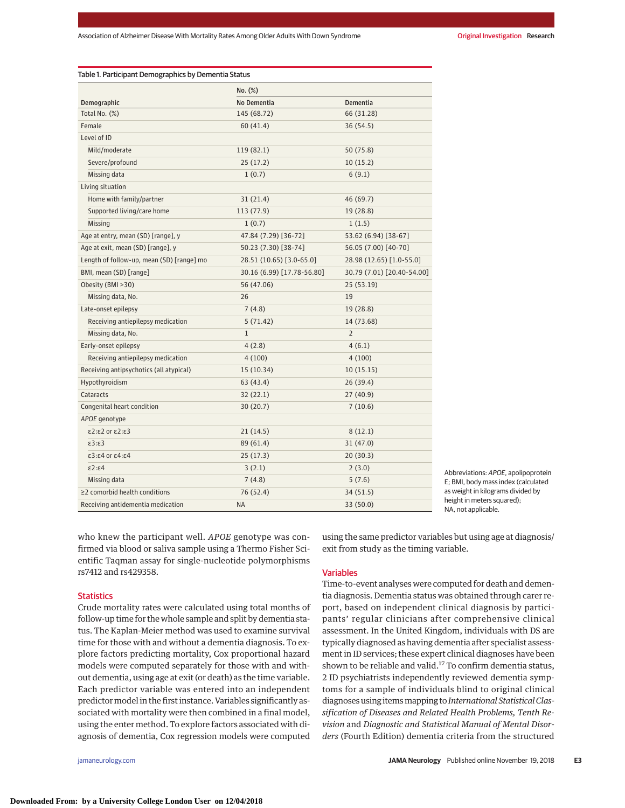|                                                          | No. (%)                    |                            |
|----------------------------------------------------------|----------------------------|----------------------------|
| Demographic                                              | No Dementia                | Dementia                   |
| Total No. (%)                                            | 145 (68.72)                | 66 (31.28)                 |
| Female                                                   | 60(41.4)                   | 36(54.5)                   |
| Level of ID                                              |                            |                            |
| Mild/moderate                                            | 119 (82.1)                 | 50 (75.8)                  |
| Severe/profound                                          | 25(17.2)                   | 10(15.2)                   |
| Missing data                                             | 1(0.7)                     | 6(9.1)                     |
| Living situation                                         |                            |                            |
| Home with family/partner                                 | 31 (21.4)                  | 46 (69.7)                  |
| Supported living/care home                               | 113(77.9)                  | 19 (28.8)                  |
| Missing                                                  | 1(0.7)                     | 1(1.5)                     |
| Age at entry, mean (SD) [range], y                       | 47.84 (7.29) [36-72]       | 53.62 (6.94) [38-67]       |
| Age at exit, mean (SD) [range], y                        | 50.23 (7.30) [38-74]       | 56.05 (7.00) [40-70]       |
| Length of follow-up, mean (SD) [range] mo                | 28.51 (10.65) [3.0-65.0]   | 28.98 (12.65) [1.0-55.0]   |
| BMI, mean (SD) [range]                                   | 30.16 (6.99) [17.78-56.80] | 30.79 (7.01) [20.40-54.00] |
| Obesity (BMI > 30)                                       | 56 (47.06)                 | 25 (53.19)                 |
| Missing data, No.                                        | 26                         | 19                         |
| Late-onset epilepsy                                      | 7(4.8)                     | 19 (28.8)                  |
| Receiving antiepilepsy medication                        | 5(71.42)                   | 14 (73.68)                 |
| Missing data, No.                                        | $\mathbf{1}$               | $\overline{2}$             |
| Early-onset epilepsy                                     | 4(2.8)                     | 4(6.1)                     |
| Receiving antiepilepsy medication                        | 4(100)                     | 4(100)                     |
| Receiving antipsychotics (all atypical)                  | 15 (10.34)                 | 10(15.15)                  |
| Hypothyroidism                                           | 63 (43.4)                  | 26 (39.4)                  |
| Cataracts                                                | 32(22.1)                   | 27 (40.9)                  |
| Congenital heart condition                               | 30(20.7)                   | 7(10.6)                    |
| APOE genotype                                            |                            |                            |
| $\epsilon$ 2: $\epsilon$ 2 or $\epsilon$ 2: $\epsilon$ 3 | 21 (14.5)                  | 8(12.1)                    |
| E3:E3                                                    | 89 (61.4)                  | 31 (47.0)                  |
| ε3:ε4 or ε4:ε4                                           | 25 (17.3)                  | 20(30.3)                   |
| $\epsilon$ 2: $\epsilon$ 4                               | 3(2.1)                     | 2(3.0)                     |
| Missing data                                             | 7(4.8)                     | 5(7.6)                     |
| ≥2 comorbid health conditions                            | 76 (52.4)                  | 34 (51.5)                  |
| Receiving antidementia medication                        | <b>NA</b>                  | 33 (50.0)                  |

Abbreviations: APOE, apolipoprotein E; BMI, body mass index (calculated as weight in kilograms divided by height in meters squared); NA, not applicable.

who knew the participant well. *APOE* genotype was confirmed via blood or saliva sample using a Thermo Fisher Scientific Taqman assay for single-nucleotide polymorphisms rs7412 and rs429358.

## **Statistics**

Crude mortality rates were calculated using total months of follow-up time for the whole sample and split by dementia status. The Kaplan-Meier method was used to examine survival time for those with and without a dementia diagnosis. To explore factors predicting mortality, Cox proportional hazard models were computed separately for those with and without dementia, using age at exit (or death) as the time variable. Each predictor variable was entered into an independent predictormodel in the first instance. Variables significantly associated with mortality were then combined in a final model, using the enter method. To explore factors associated with diagnosis of dementia, Cox regression models were computed

#### Variables

Time-to-event analyses were computed for death and dementia diagnosis. Dementia status was obtained through carer report, based on independent clinical diagnosis by participants' regular clinicians after comprehensive clinical assessment. In the United Kingdom, individuals with DS are typically diagnosed as having dementia after specialist assessment in ID services; these expert clinical diagnoses have been shown to be reliable and valid.<sup>17</sup> To confirm dementia status, 2 ID psychiatrists independently reviewed dementia symptoms for a sample of individuals blind to original clinical diagnoses using itemsmapping to*International Statistical Classification of Diseases and Related Health Problems, Tenth Revision* and *Diagnostic and Statistical Manual of Mental Disorders* (Fourth Edition) dementia criteria from the structured

using the same predictor variables but using age at diagnosis/

exit from study as the timing variable.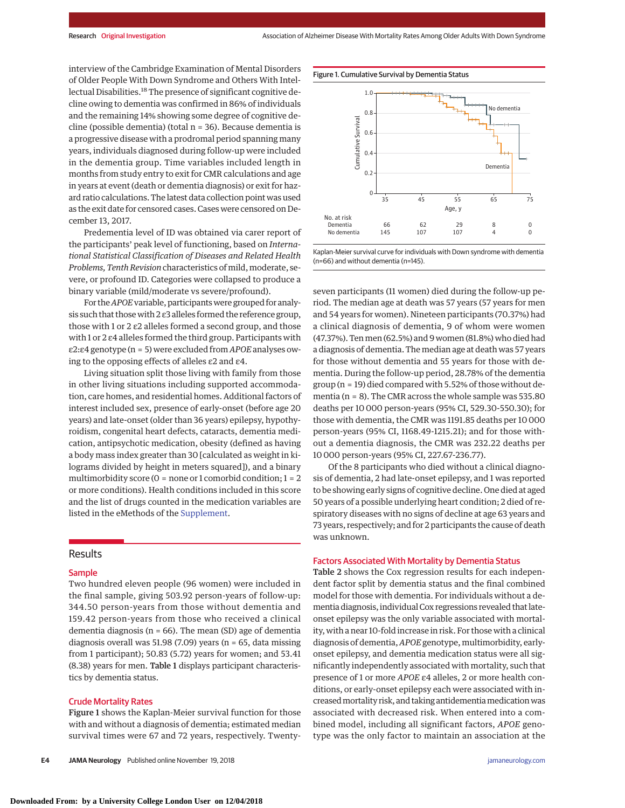Figure 1. Cumulative Survival by Dementia Status

interview of the Cambridge Examination of Mental Disorders of Older People With Down Syndrome and Others With Intellectual Disabilities.<sup>18</sup> The presence of significant cognitive decline owing to dementia was confirmed in 86% of individuals and the remaining 14% showing some degree of cognitive decline (possible dementia) (total n = 36). Because dementia is a progressive disease with a prodromal period spanning many years, individuals diagnosed during follow-up were included in the dementia group. Time variables included length in months from study entry to exit for CMR calculations and age in years at event (death or dementia diagnosis) or exit for hazard ratio calculations. The latest data collection point was used as the exit date for censored cases. Cases were censored on December 13, 2017.

Predementia level of ID was obtained via carer report of the participants' peak level of functioning, based on *International Statistical Classification of Diseases and Related Health* Problems, Tenth Revision characteristics of mild, moderate, severe, or profound ID. Categories were collapsed to produce a binary variable (mild/moderate vs severe/profound).

For the*APOE*variable, participantswere grouped for analysis such that those with 2 ε3 alleles formed the reference group, those with 1 or 2 ε2 alleles formed a second group, and those with 1 or 2 ε4 alleles formed the third group. Participants with ε2:ε4 genotype (n = 5) were excluded from *APOE*analyses owing to the opposing effects of alleles ε2 and ε4.

Living situation split those living with family from those in other living situations including supported accommodation, care homes, and residential homes. Additional factors of interest included sex, presence of early-onset (before age 20 years) and late-onset (older than 36 years) epilepsy, hypothyroidism, congenital heart defects, cataracts, dementia medication, antipsychotic medication, obesity (defined as having a body mass index greater than 30 [calculated as weight in kilograms divided by height in meters squared]), and a binary multimorbidity score ( $0 =$  none or 1 comorbid condition;  $1 = 2$ or more conditions). Health conditions included in this score and the list of drugs counted in the medication variables are listed in the eMethods of the [Supplement.](https://jama.jamanetwork.com/article.aspx?doi=10.1001/jamaneurol.2018.3616&utm_campaign=articlePDF%26utm_medium=articlePDFlink%26utm_source=articlePDF%26utm_content=jamaneurol.2018.3616)

## Results

#### Sample

Two hundred eleven people (96 women) were included in the final sample, giving 503.92 person-years of follow-up: 344.50 person-years from those without dementia and 159.42 person-years from those who received a clinical dementia diagnosis ( $n = 66$ ). The mean (SD) age of dementia diagnosis overall was 51.98 (7.09) years ( $n = 65$ , data missing from 1 participant); 50.83 (5.72) years for women; and 53.41 (8.38) years for men. Table 1 displays participant characteristics by dementia status.

## Crude Mortality Rates

Figure 1 shows the Kaplan-Meier survival function for those with and without a diagnosis of dementia; estimated median survival times were 67 and 72 years, respectively. Twenty-

**E4 JAMA Neurology** Published online November 19, 2018 **(Reprinted)** [jamaneurology.com](http://www.jamaneurology.com/?utm_campaign=articlePDF%26utm_medium=articlePDFlink%26utm_source=articlePDF%26utm_content=jamaneurol.2018.3616)



Kaplan-Meier survival curve for individuals with Down syndrome with dementia (n=66) and without dementia (n=145).

seven participants (11 women) died during the follow-up period. The median age at death was 57 years (57 years for men and 54 years for women). Nineteen participants (70.37%) had a clinical diagnosis of dementia, 9 of whom were women (47.37%). Tenmen (62.5%) and 9 women (81.8%) who died had a diagnosis of dementia. The median age at death was 57 years for those without dementia and 55 years for those with dementia. During the follow-up period, 28.78% of the dementia group (n = 19) died compared with 5.52% of those without dementia (n = 8). The CMR across the whole sample was 535.80 deaths per 10 000 person-years (95% CI, 529.30-550.30); for those with dementia, the CMR was 1191.85 deaths per 10 000 person-years (95% CI, 1168.49-1215.21); and for those without a dementia diagnosis, the CMR was 232.22 deaths per 10 000 person-years (95% CI, 227.67-236.77).

Of the 8 participants who died without a clinical diagnosis of dementia, 2 had late-onset epilepsy, and 1 was reported to be showing early signs of cognitive decline. One died at aged 50 years of a possible underlying heart condition; 2 died of respiratory diseases with no signs of decline at age 63 years and 73 years, respectively; and for 2 participants the cause of death was unknown.

## Factors Associated With Mortality by Dementia Status

Table 2 shows the Cox regression results for each independent factor split by dementia status and the final combined model for those with dementia. For individuals without a dementia diagnosis, individual Cox regressions revealed that lateonset epilepsy was the only variable associated with mortality, with a near 10-fold increase in risk. For those with a clinical diagnosis of dementia, *APOE* genotype, multimorbidity, earlyonset epilepsy, and dementia medication status were all significantly independently associated with mortality, such that presence of 1 or more *APOE* ε4 alleles, 2 or more health conditions, or early-onset epilepsy each were associated with increased mortality risk, and taking antidementia medication was associated with decreased risk. When entered into a combined model, including all significant factors, *APOE* genotype was the only factor to maintain an association at the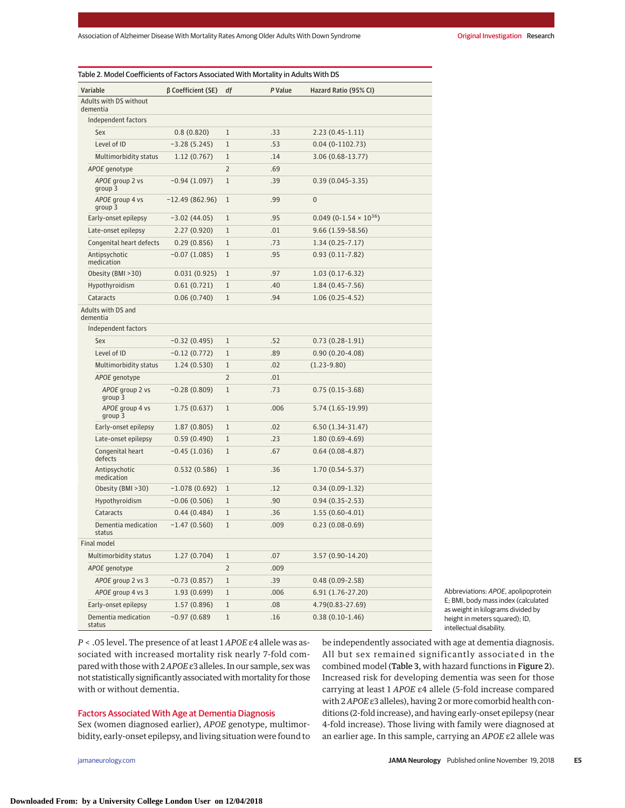| Table 2. Model Coefficients of Factors Associated With Mortality in Adults With DS |                           |                |         |                                             |
|------------------------------------------------------------------------------------|---------------------------|----------------|---------|---------------------------------------------|
| Variable                                                                           | <b>B Coefficient (SE)</b> | df             | P Value | Hazard Ratio (95% CI)                       |
| Adults with DS without<br>dementia                                                 |                           |                |         |                                             |
| Independent factors                                                                |                           |                |         |                                             |
| Sex                                                                                | 0.8(0.820)                | 1              | .33     | $2.23(0.45-1.11)$                           |
| Level of ID                                                                        | $-3.28(5.245)$            | 1              | .53     | $0.04(0-1102.73)$                           |
| Multimorbidity status                                                              | 1.12(0.767)               | 1              | .14     | 3.06 (0.68-13.77)                           |
| APOE genotype                                                                      |                           | $\overline{2}$ | .69     |                                             |
| APOE group 2 vs<br>group 3                                                         | $-0.94(1.097)$            | $\mathbf{1}$   | .39     | $0.39(0.045 - 3.35)$                        |
| APOE group 4 vs<br>group 3                                                         | $-12.49(862.96)$          | $\mathbf{1}$   | .99     | $\mathbf{0}$                                |
| Early-onset epilepsy                                                               | $-3.02(44.05)$            | $\mathbf{1}$   | .95     | $0.049$ (0-1.54 $\times$ 10 <sup>36</sup> ) |
| Late-onset epilepsy                                                                | 2.27(0.920)               | $\mathbf{1}$   | .01     | 9.66 (1.59-58.56)                           |
| Congenital heart defects                                                           | 0.29(0.856)               | $\mathbf{1}$   | .73     | $1.34(0.25 - 7.17)$                         |
| Antipsychotic<br>medication                                                        | $-0.07(1.085)$            | $\mathbf{1}$   | .95     | $0.93(0.11-7.82)$                           |
| Obesity (BMI > 30)                                                                 | 0.031(0.925)              | 1              | .97     | $1.03(0.17-6.32)$                           |
| Hypothyroidism                                                                     | 0.61(0.721)               | $\mathbf{1}$   | .40     | 1.84 (0.45-7.56)                            |
| Cataracts                                                                          | 0.06(0.740)               | $\mathbf{1}$   | .94     | $1.06(0.25-4.52)$                           |
| Adults with DS and<br>dementia                                                     |                           |                |         |                                             |
| Independent factors                                                                |                           |                |         |                                             |
| Sex                                                                                | $-0.32(0.495)$            | 1              | .52     | $0.73(0.28-1.91)$                           |
| Level of ID                                                                        | $-0.12(0.772)$            | $\mathbf{1}$   | .89     | $0.90(0.20-4.08)$                           |
| Multimorbidity status                                                              | 1.24(0.530)               | $\mathbf{1}$   | .02     | $(1.23 - 9.80)$                             |
| APOE genotype                                                                      |                           | $\overline{2}$ | .01     |                                             |
| APOE group 2 vs<br>group 3                                                         | $-0.28(0.809)$            | $\mathbf{1}$   | .73     | $0.75(0.15-3.68)$                           |
| APOE group 4 vs<br>group 3                                                         | 1.75(0.637)               | 1              | .006    | 5.74 (1.65-19.99)                           |
| Early-onset epilepsy                                                               | 1.87(0.805)               | $\mathbf{1}$   | .02     | 6.50 (1.34-31.47)                           |
| Late-onset epilepsy                                                                | 0.59(0.490)               | $\mathbf{1}$   | .23     | $1.80(0.69-4.69)$                           |
| Congenital heart<br>defects                                                        | $-0.45(1.036)$            | 1              | .67     | $0.64(0.08-4.87)$                           |
| Antipsychotic<br>medication                                                        | 0.532(0.586)              | $\mathbf 1$    | .36     | $1.70(0.54-5.37)$                           |
| Obesity (BMI > 30)                                                                 | $-1.078(0.692)$           | 1              | .12     | $0.34(0.09-1.32)$                           |
| Hypothyroidism                                                                     | $-0.06(0.506)$            | $\mathbf{1}$   | .90     | $0.94(0.35-2.53)$                           |
| Cataracts                                                                          | 0.44(0.484)               | $\mathbf{1}$   | .36     | $1.55(0.60-4.01)$                           |
| Dementia medication<br>status                                                      | $-1.47(0.560)$            | 1              | .009    | $0.23(0.08-0.69)$                           |
| Final model                                                                        |                           |                |         |                                             |
| Multimorbidity status                                                              | 1.27(0.704)               | $\mathbf 1$    | .07     | 3.57 (0.90-14.20)                           |
| APOE genotype                                                                      |                           | $\overline{2}$ | .009    |                                             |
| APOE group 2 vs 3                                                                  | $-0.73(0.857)$            | $\mathbf 1$    | .39     | $0.48(0.09-2.58)$                           |
| APOE group 4 vs 3                                                                  | 1.93(0.699)               | $\mathbf 1$    | .006    | 6.91 (1.76-27.20)                           |
| Early-onset epilepsy                                                               | 1.57(0.896)               | $\mathbf 1$    | .08     | 4.79(0.83-27.69)                            |
| Dementia medication<br>status                                                      | $-0.97(0.689)$            | $\mathbf 1$    | .16     | $0.38(0.10-1.46)$                           |

Abbreviations: APOE, apolipoprotein E; BMI, body mass index (calculated as weight in kilograms divided by height in meters squared); ID, intellectual disability.

*P* < .05 level. The presence of at least 1 *APOE* ε4 allele was associated with increased mortality risk nearly 7-fold compared with those with 2 *APOE*ε3 alleles. In our sample, sex was not statistically significantly associated with mortality for those with or without dementia.

## Factors Associated With Age at Dementia Diagnosis

Sex (women diagnosed earlier), *APOE* genotype, multimorbidity, early-onset epilepsy, and living situation were found to

be independently associated with age at dementia diagnosis. All but sex remained significantly associated in the combined model (Table 3, with hazard functions in Figure 2). Increased risk for developing dementia was seen for those carrying at least 1 *APOE* ε4 allele (5-fold increase compared with 2 *APOE*ε3 alleles), having 2 ormore comorbid health conditions (2-fold increase), and having early-onset epilepsy (near 4-fold increase). Those living with family were diagnosed at an earlier age. In this sample, carrying an *APOE* ε2 allele was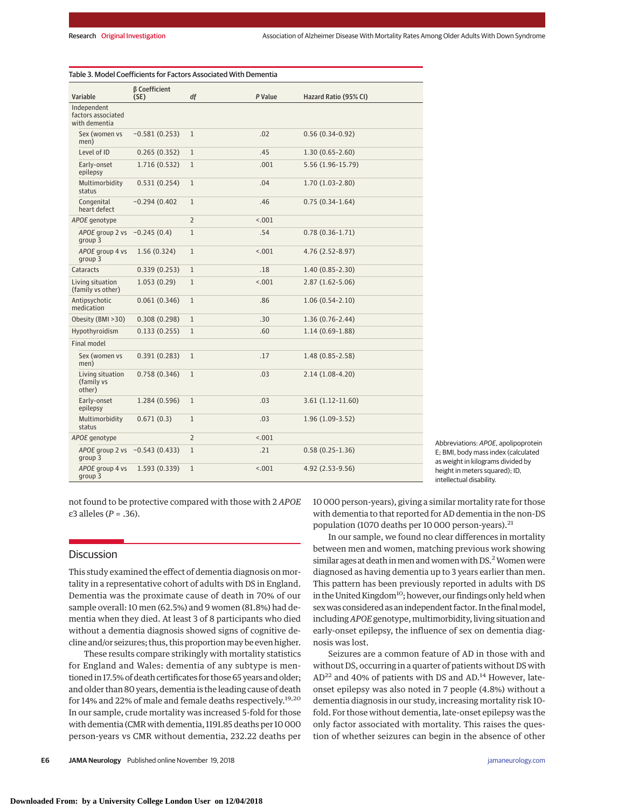| Variable                                           | <b>B</b> Coefficient<br>(SE)   | df             | P Value | Hazard Ratio (95% CI) |
|----------------------------------------------------|--------------------------------|----------------|---------|-----------------------|
| Independent<br>factors associated<br>with dementia |                                |                |         |                       |
| Sex (women vs<br>men)                              | $-0.581(0.253)$                | $\mathbf{1}$   | .02     | $0.56(0.34-0.92)$     |
| Level of ID                                        | 0.265(0.352)                   | $\mathbf{1}$   | .45     | $1.30(0.65 - 2.60)$   |
| Early-onset<br>epilepsy                            | 1.716(0.532)                   | $\mathbf{1}$   | .001    | 5.56 (1.96-15.79)     |
| Multimorbidity<br>status                           | 0.531(0.254)                   | $\mathbf{1}$   | .04     | $1.70(1.03-2.80)$     |
| Congenital<br>heart defect                         | $-0.294(0.402)$                | $\mathbf{1}$   | .46     | $0.75(0.34-1.64)$     |
| APOE genotype                                      |                                | $\overline{2}$ | < .001  |                       |
| APOE group 2 vs -0.245 (0.4)<br>group 3            |                                | $\mathbf{1}$   | .54     | $0.78(0.36 - 1.71)$   |
| APOE group 4 vs<br>group 3                         | 1.56(0.324)                    | $\mathbf{1}$   | < .001  | 4.76 (2.52-8.97)      |
| Cataracts                                          | 0.339(0.253)                   | $\mathbf{1}$   | .18     | $1.40(0.85 - 2.30)$   |
| Living situation<br>(family vs other)              | 1.053(0.29)                    | $\mathbf{1}$   | < 0.01  | $2.87(1.62 - 5.06)$   |
| Antipsychotic<br>medication                        | 0.061(0.346)                   | $\mathbf{1}$   | .86     | $1.06(0.54-2.10)$     |
| Obesity (BMI > 30)                                 | 0.308(0.298)                   | $\mathbf{1}$   | .30     | $1.36(0.76-2.44)$     |
| Hypothyroidism                                     | 0.133(0.255)                   | $\mathbf{1}$   | .60     | $1.14(0.69-1.88)$     |
| Final model                                        |                                |                |         |                       |
| Sex (women vs<br>men)                              | 0.391(0.283)                   | $\mathbf{1}$   | .17     | $1.48(0.85 - 2.58)$   |
| Living situation<br>(family vs<br>other)           | 0.758(0.346)                   | $\mathbf{1}$   | .03     | $2.14(1.08-4.20)$     |
| Early-onset<br>epilepsy                            | 1.284 (0.596)                  | $\mathbf{1}$   | .03     | $3.61(1.12-11.60)$    |
| Multimorbidity<br>status                           | 0.671(0.3)                     | $\mathbf{1}$   | .03     | $1.96(1.09-3.52)$     |
| APOE genotype                                      |                                | $\overline{2}$ | < .001  |                       |
| group 3                                            | APOE group 2 vs -0.543 (0.433) | $\mathbf{1}$   | .21     | $0.58(0.25-1.36)$     |
| APOE group 4 vs<br>group 3                         | 1.593(0.339)                   | $\mathbf{1}$   | < 0.01  | 4.92 (2.53-9.56)      |

Abbreviations: APOE, apolipoprotein E; BMI, body mass index (calculated as weight in kilograms divided by height in meters squared); ID, intellectual disability.

not found to be protective compared with those with 2 *APOE* ε3 alleles (*P* = .36).

## Discussion

This study examined the effect of dementia diagnosis on mortality in a representative cohort of adults with DS in England. Dementia was the proximate cause of death in 70% of our sample overall: 10 men (62.5%) and 9 women (81.8%) had dementia when they died. At least 3 of 8 participants who died without a dementia diagnosis showed signs of cognitive decline and/or seizures; thus, this proportion may be even higher.

These results compare strikingly with mortality statistics for England and Wales: dementia of any subtype is mentioned in 17.5% of death certificates for those 65 years and older; and older than 80 years, dementia is the leading cause of death for 14% and 22% of male and female deaths respectively.<sup>19,20</sup> In our sample, crude mortality was increased 5-fold for those with dementia (CMR with dementia, 1191.85 deaths per 10 000 person-years vs CMR without dementia, 232.22 deaths per 10 000 person-years), giving a similar mortality rate for those with dementia to that reported for AD dementia in the non-DS population (1070 deaths per 10 000 person-years).<sup>21</sup>

In our sample, we found no clear differences in mortality between men and women, matching previous work showing similar ages at death in men and women with DS.<sup>2</sup> Women were diagnosed as having dementia up to 3 years earlier than men. This pattern has been previously reported in adults with DS in the United Kingdom<sup>10</sup>; however, our findings only held when sex was considered as an independent factor. In the final model, including *APOE*genotype,multimorbidity, living situation and early-onset epilepsy, the influence of sex on dementia diagnosis was lost.

Seizures are a common feature of AD in those with and without DS, occurring in a quarter of patients without DS with  $AD^{22}$  and 40% of patients with DS and AD.<sup>14</sup> However, lateonset epilepsy was also noted in 7 people (4.8%) without a dementia diagnosis in our study, increasing mortality risk 10 fold. For those without dementia, late-onset epilepsy was the only factor associated with mortality. This raises the question of whether seizures can begin in the absence of other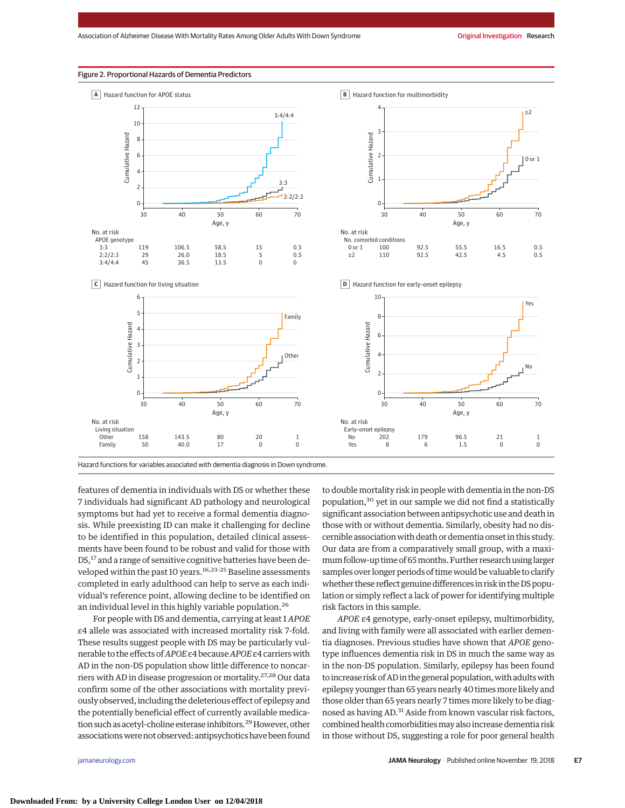

#### Figure 2. Proportional Hazards of Dementia Predictors

Hazard functions for variables associated with dementia diagnosis in Down syndrome.

features of dementia in individuals with DS or whether these 7 individuals had significant AD pathology and neurological symptoms but had yet to receive a formal dementia diagnosis. While preexisting ID can make it challenging for decline to be identified in this population, detailed clinical assessments have been found to be robust and valid for those with DS,17 and a range of sensitive cognitive batteries have been developed within the past 10 years.<sup>16,23-25</sup> Baseline assessments completed in early adulthood can help to serve as each individual's reference point, allowing decline to be identified on an individual level in this highly variable population.<sup>26</sup>

For people with DS and dementia, carrying at least 1 *APOE* ε4 allele was associated with increased mortality risk 7-fold. These results suggest people with DS may be particularly vulnerable to the effects of *APOE*ε4 because *APOE*ε4 carriers with AD in the non-DS population show little difference to noncarriers with AD in disease progression or mortality.27,28 Our data confirm some of the other associations with mortality previously observed, including the deleterious effect of epilepsy and the potentially beneficial effect of currently available medication such as acetyl-choline esterase inhibitors.<sup>29</sup> However, other associationswere not observed: antipsychotics have been found

to double mortality risk in people with dementia in the non-DS population,30 yet in our sample we did not find a statistically significant association between antipsychotic use and death in those with or without dementia. Similarly, obesity had no discernible association with death or dementia onset in this study. Our data are from a comparatively small group, with a maximum follow-up time of 65months. Further research using larger samples over longer periods of time would be valuable to clarify whether these reflect genuine differences in risk in the DS population or simply reflect a lack of power for identifying multiple risk factors in this sample.

*APOE* ε4 genotype, early-onset epilepsy, multimorbidity, and living with family were all associated with earlier dementia diagnoses. Previous studies have shown that *APOE* genotype influences dementia risk in DS in much the same way as in the non-DS population. Similarly, epilepsy has been found to increase risk of AD in the general population, with adults with epilepsy younger than 65 years nearly 40 times more likely and those older than 65 years nearly 7 times more likely to be diagnosed as having AD.<sup>31</sup> Aside from known vascular risk factors, combined health comorbiditiesmay also increase dementia risk in those without DS, suggesting a role for poor general health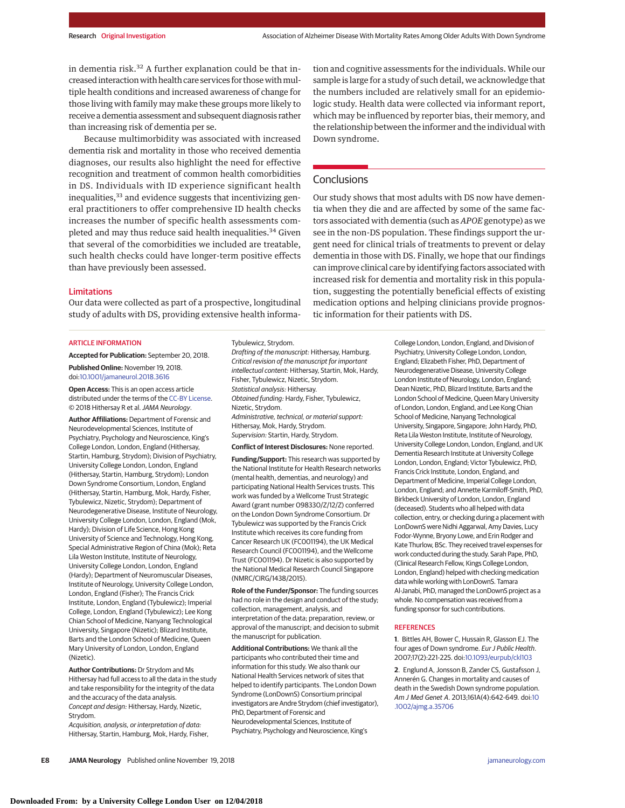in dementia risk.<sup>32</sup> A further explanation could be that increased interaction with health care services for those with multiple health conditions and increased awareness of change for those living with family may make these groups more likely to receive a dementia assessment and subsequent diagnosis rather than increasing risk of dementia per se.

Because multimorbidity was associated with increased dementia risk and mortality in those who received dementia diagnoses, our results also highlight the need for effective recognition and treatment of common health comorbidities in DS. Individuals with ID experience significant health inequalities, $33$  and evidence suggests that incentivizing general practitioners to offer comprehensive ID health checks increases the number of specific health assessments completed and may thus reduce said health inequalities.<sup>34</sup> Given that several of the comorbidities we included are treatable, such health checks could have longer-term positive effects than have previously been assessed.

Limitations

Our data were collected as part of a prospective, longitudinal study of adults with DS, providing extensive health informa-

#### ARTICLE INFORMATION

**Accepted for Publication:** September 20, 2018. **Published Online:** November 19, 2018. doi[:10.1001/jamaneurol.2018.3616](https://jama.jamanetwork.com/article.aspx?doi=10.1001/jamaneurol.2018.3616&utm_campaign=articlePDF%26utm_medium=articlePDFlink%26utm_source=articlePDF%26utm_content=jamaneurol.2018.3616)

**Open Access:** This is an open access article distributed under the terms of the [CC-BY License.](https://jamanetwork.com/journals/jamaneurology/pages/instructions-for-authors/?utm_campaign=articlePDF%26utm_medium=articlePDFlink%26utm_source=articlePDF%26utm_content=jamaneurol.2018.3616#SecOpenAccess) © 2018 Hithersay R et al.JAMA Neurology.

**Author Affiliations:** Department of Forensic and Neurodevelopmental Sciences, Institute of Psychiatry, Psychology and Neuroscience, King's College London, London, England (Hithersay, Startin, Hamburg, Strydom); Division of Psychiatry, University College London, London, England (Hithersay, Startin, Hamburg, Strydom); London Down Syndrome Consortium, London, England (Hithersay, Startin, Hamburg, Mok, Hardy, Fisher, Tybulewicz, Nizetic, Strydom); Department of Neurodegenerative Disease, Institute of Neurology, University College London, London, England (Mok, Hardy); Division of Life Science, Hong Kong University of Science and Technology, Hong Kong, Special Administrative Region of China (Mok); Reta Lila Weston Institute, Institute of Neurology, University College London, London, England (Hardy); Department of Neuromuscular Diseases, Institute of Neurology, University College London, London, England (Fisher); The Francis Crick Institute, London, England (Tybulewicz); Imperial College, London, England (Tybulewicz); Lee Kong Chian School of Medicine, Nanyang Technological University, Singapore (Nizetic); Blizard Institute, Barts and the London School of Medicine, Queen Mary University of London, London, England (Nizetic).

**Author Contributions:** Dr Strydom and Ms Hithersay had full access to all the data in the study and take responsibility for the integrity of the data and the accuracy of the data analysis. Concept and design: Hithersay, Hardy, Nizetic, Strydom.

Acquisition, analysis, or interpretation of data: Hithersay, Startin, Hamburg, Mok, Hardy, Fisher, Tybulewicz, Strydom.

Drafting of the manuscript: Hithersay, Hamburg. Critical revision of the manuscript for important intellectual content: Hithersay, Startin, Mok, Hardy, Fisher, Tybulewicz, Nizetic, Strydom. Statistical analysis: Hithersay. Obtained funding: Hardy, Fisher, Tybulewicz, Nizetic, Strydom. Administrative, technical, or material support: Hithersay, Mok, Hardy, Strydom. Supervision: Startin, Hardy, Strydom.

**Conflict of Interest Disclosures:** None reported.

**Funding/Support:** This research was supported by the National Institute for Health Research networks (mental health, dementias, and neurology) and participating National Health Services trusts. This work was funded by a Wellcome Trust Strategic Award (grant number 098330/Z/12/Z) conferred on the London Down Syndrome Consortium. Dr Tybulewicz was supported by the Francis Crick Institute which receives its core funding from Cancer Research UK (FC001194), the UK Medical Research Council (FC001194), and the Wellcome Trust (FC001194). Dr Nizetic is also supported by the National Medical Research Council Singapore (NMRC/CIRG/1438/2015).

**Role of the Funder/Sponsor:** The funding sources had no role in the design and conduct of the study; collection, management, analysis, and interpretation of the data; preparation, review, or approval of the manuscript; and decision to submit the manuscript for publication.

**Additional Contributions:** We thank all the participants who contributed their time and information for this study. We also thank our National Health Services network of sites that helped to identify participants. The London Down Syndrome (LonDownS) Consortium principal investigators are Andre Strydom (chief investigator), PhD, Department of Forensic and Neurodevelopmental Sciences, Institute of Psychiatry, Psychology and Neuroscience, King's

tion and cognitive assessments for the individuals. While our sample is large for a study of such detail, we acknowledge that the numbers included are relatively small for an epidemiologic study. Health data were collected via informant report, which may be influenced by reporter bias, their memory, and the relationship between the informer and the individual with Down syndrome.

## **Conclusions**

Our study shows that most adults with DS now have dementia when they die and are affected by some of the same factors associated with dementia (such as *APOE* genotype) as we see in the non-DS population. These findings support the urgent need for clinical trials of treatments to prevent or delay dementia in those with DS. Finally, we hope that our findings can improve clinical care by identifying factors associated with increased risk for dementia and mortality risk in this population, suggesting the potentially beneficial effects of existing medication options and helping clinicians provide prognostic information for their patients with DS.

> College London, London, England, and Division of Psychiatry, University College London, London, England; Elizabeth Fisher, PhD, Department of Neurodegenerative Disease, University College London Institute of Neurology, London, England; Dean Nizetic, PhD, Blizard Institute, Barts and the London School of Medicine, Queen Mary University of London, London, England, and Lee Kong Chian School of Medicine, Nanyang Technological University, Singapore, Singapore; John Hardy, PhD, Reta Lila Weston Institute, Institute of Neurology, University College London, London, England, and UK Dementia Research Institute at University College London, London, England; Victor Tybulewicz, PhD, Francis Crick Institute, London, England, and Department of Medicine, Imperial College London, London, England; and Annette Karmiloff-Smith, PhD, Birkbeck University of London, London, England (deceased). Students who all helped with data collection, entry, or checking during a placement with LonDownS were Nidhi Aggarwal, Amy Davies, Lucy Fodor-Wynne, Bryony Lowe, and Erin Rodger and Kate Thurlow, BSc. They received travel expenses for work conducted during the study. Sarah Pape, PhD, (Clinical Research Fellow, Kings College London, London, England) helped with checking medication data while working with LonDownS. Tamara Al-Janabi, PhD, managed the LonDownS project as a whole. No compensation was received from a funding sponsor for such contributions.

#### **REFERENCES**

**1**. Bittles AH, Bower C, Hussain R, Glasson EJ. The four ages of Down syndrome. Eur J Public Health. 2007;17(2):221-225. doi[:10.1093/eurpub/ckl103](https://dx.doi.org/10.1093/eurpub/ckl103)

**2**. Englund A, Jonsson B, Zander CS, Gustafsson J, Annerén G. Changes in mortality and causes of death in the Swedish Down syndrome population. Am J Med Genet A. 2013;161A(4):642-649. doi[:10](https://dx.doi.org/10.1002/ajmg.a.35706) [.1002/ajmg.a.35706](https://dx.doi.org/10.1002/ajmg.a.35706)